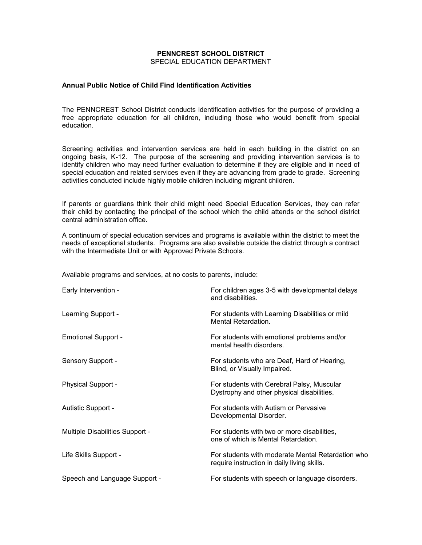## **PENNCREST SCHOOL DISTRICT** SPECIAL EDUCATION DEPARTMENT

## **Annual Public Notice of Child Find Identification Activities**

The PENNCREST School District conducts identification activities for the purpose of providing a free appropriate education for all children, including those who would benefit from special education.

Screening activities and intervention services are held in each building in the district on an ongoing basis, K-12. The purpose of the screening and providing intervention services is to identify children who may need further evaluation to determine if they are eligible and in need of special education and related services even if they are advancing from grade to grade. Screening activities conducted include highly mobile children including migrant children.

If parents or guardians think their child might need Special Education Services, they can refer their child by contacting the principal of the school which the child attends or the school district central administration office.

A continuum of special education services and programs is available within the district to meet the needs of exceptional students. Programs are also available outside the district through a contract with the Intermediate Unit or with Approved Private Schools.

Available programs and services, at no costs to parents, include:

| Early Intervention -                   | For children ages 3-5 with developmental delays<br>and disabilities.                             |
|----------------------------------------|--------------------------------------------------------------------------------------------------|
| Learning Support -                     | For students with Learning Disabilities or mild<br>Mental Retardation.                           |
| <b>Emotional Support -</b>             | For students with emotional problems and/or<br>mental health disorders.                          |
| Sensory Support -                      | For students who are Deaf, Hard of Hearing,<br>Blind, or Visually Impaired.                      |
| <b>Physical Support -</b>              | For students with Cerebral Palsy, Muscular<br>Dystrophy and other physical disabilities.         |
| Autistic Support -                     | For students with Autism or Pervasive<br>Developmental Disorder.                                 |
| <b>Multiple Disabilities Support -</b> | For students with two or more disabilities,<br>one of which is Mental Retardation.               |
| Life Skills Support -                  | For students with moderate Mental Retardation who<br>require instruction in daily living skills. |
| Speech and Language Support -          | For students with speech or language disorders.                                                  |